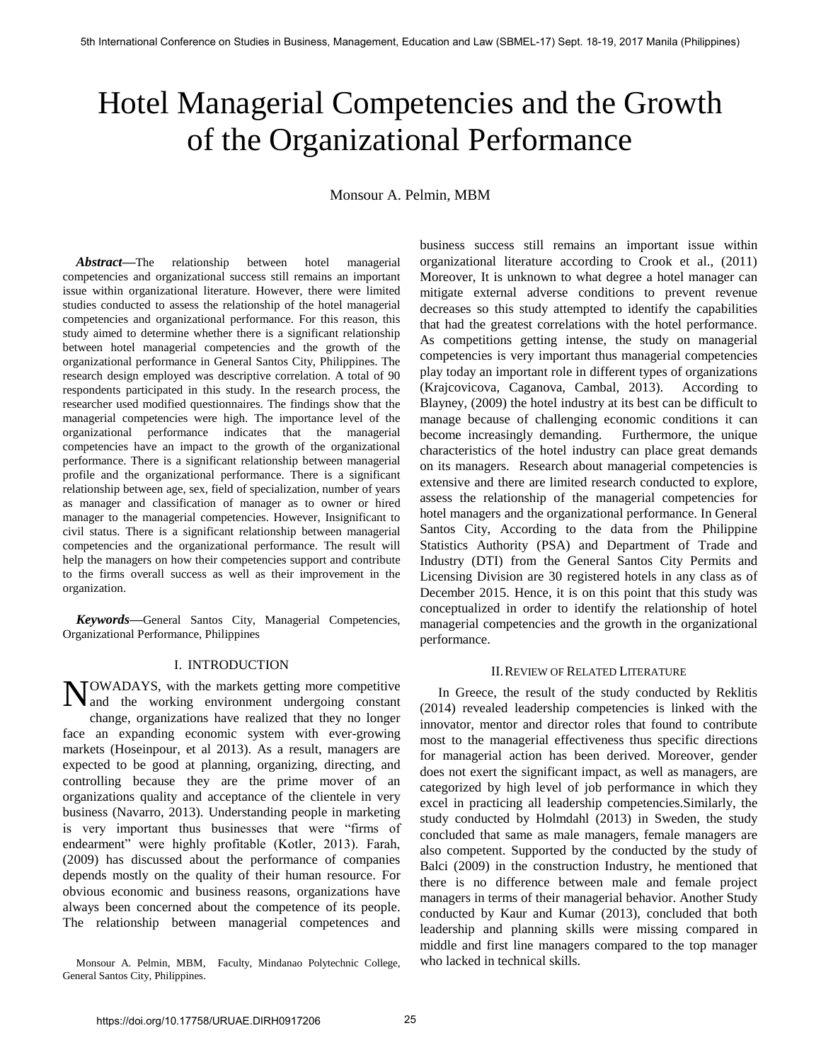# Hotel Managerial Competencies and the Growth of the Organizational Performance

Monsour A. Pelmin, MBM

*Abstract***—**The relationship between hotel managerial competencies and organizational success still remains an important issue within organizational literature. However, there were limited studies conducted to assess the relationship of the hotel managerial competencies and organizational performance. For this reason, this study aimed to determine whether there is a significant relationship between hotel managerial competencies and the growth of the organizational performance in General Santos City, Philippines. The research design employed was descriptive correlation. A total of 90 respondents participated in this study. In the research process, the researcher used modified questionnaires. The findings show that the managerial competencies were high. The importance level of the organizational performance indicates that the managerial competencies have an impact to the growth of the organizational performance. There is a significant relationship between managerial profile and the organizational performance. There is a significant relationship between age, sex, field of specialization, number of years as manager and classification of manager as to owner or hired manager to the managerial competencies. However, Insignificant to civil status. There is a significant relationship between managerial competencies and the organizational performance. The result will help the managers on how their competencies support and contribute to the firms overall success as well as their improvement in the organization.

*Keywords***—**General Santos City, Managerial Competencies, Organizational Performance, Philippines

## I. INTRODUCTION

OWADAYS, with the markets getting more competitive NOWADAYS, with the markets getting more competitive and the working environment undergoing constant change, organizations have realized that they no longer face an expanding economic system with ever-growing markets (Hoseinpour, et al 2013). As a result, managers are expected to be good at planning, organizing, directing, and controlling because they are the prime mover of an organizations quality and acceptance of the clientele in very business (Navarro, 2013). Understanding people in marketing is very important thus businesses that were "firms of endearment" were highly profitable (Kotler, 2013). Farah, (2009) has discussed about the performance of companies depends mostly on the quality of their human resource. For obvious economic and business reasons, organizations have always been concerned about the competence of its people. The relationship between managerial competences and

Monsour A. Pelmin, MBM, Faculty, Mindanao Polytechnic College, General Santos City, Philippines.

business success still remains an important issue within organizational literature according to Crook et al., (2011) Moreover, It is unknown to what degree a hotel manager can mitigate external adverse conditions to prevent revenue decreases so this study attempted to identify the capabilities that had the greatest correlations with the hotel performance. As competitions getting intense, the study on managerial competencies is very important thus managerial competencies play today an important role in different types of organizations (Krajcovicova, Caganova, Cambal, 2013). According to Blayney, (2009) the hotel industry at its best can be difficult to manage because of challenging economic conditions it can become increasingly demanding. Furthermore, the unique characteristics of the hotel industry can place great demands on its managers. Research about managerial competencies is extensive and there are limited research conducted to explore, assess the relationship of the managerial competencies for hotel managers and the organizational performance. In General Santos City, According to the data from the Philippine Statistics Authority (PSA) and Department of Trade and Industry (DTI) from the General Santos City Permits and Licensing Division are 30 registered hotels in any class as of December 2015. Hence, it is on this point that this study was conceptualized in order to identify the relationship of hotel managerial competencies and the growth in the organizational performance.

## II.REVIEW OF RELATED LITERATURE

In Greece, the result of the study conducted by Reklitis (2014) revealed leadership competencies is linked with the innovator, mentor and director roles that found to contribute most to the managerial effectiveness thus specific directions for managerial action has been derived. Moreover, gender does not exert the significant impact, as well as managers, are categorized by high level of job performance in which they excel in practicing all leadership competencies.Similarly, the study conducted by Holmdahl (2013) in Sweden, the study concluded that same as male managers, female managers are also competent. Supported by the conducted by the study of Balci (2009) in the construction Industry, he mentioned that there is no difference between male and female project managers in terms of their managerial behavior. Another Study conducted by Kaur and Kumar (2013), concluded that both leadership and planning skills were missing compared in middle and first line managers compared to the top manager who lacked in technical skills.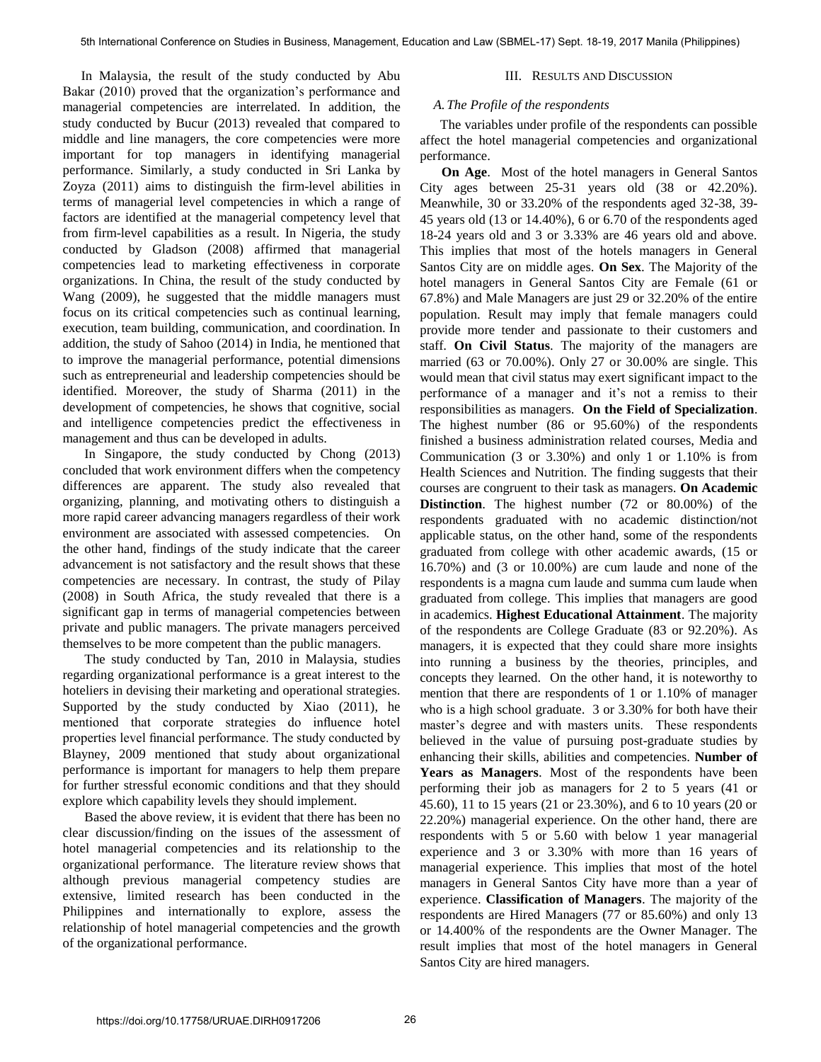In Malaysia, the result of the study conducted by Abu Bakar (2010) proved that the organization's performance and managerial competencies are interrelated. In addition, the study conducted by Bucur (2013) revealed that compared to middle and line managers, the core competencies were more important for top managers in identifying managerial performance. Similarly, a study conducted in Sri Lanka by Zoyza (2011) aims to distinguish the firm-level abilities in terms of managerial level competencies in which a range of factors are identified at the managerial competency level that from firm-level capabilities as a result. In Nigeria, the study conducted by Gladson (2008) affirmed that managerial competencies lead to marketing effectiveness in corporate organizations. In China, the result of the study conducted by Wang (2009), he suggested that the middle managers must focus on its critical competencies such as continual learning, execution, team building, communication, and coordination. In addition, the study of Sahoo (2014) in India, he mentioned that to improve the managerial performance, potential dimensions such as entrepreneurial and leadership competencies should be identified. Moreover, the study of Sharma (2011) in the development of competencies, he shows that cognitive, social and intelligence competencies predict the effectiveness in management and thus can be developed in adults.

 In Singapore, the study conducted by Chong (2013) concluded that work environment differs when the competency differences are apparent. The study also revealed that organizing, planning, and motivating others to distinguish a more rapid career advancing managers regardless of their work environment are associated with assessed competencies. On the other hand, findings of the study indicate that the career advancement is not satisfactory and the result shows that these competencies are necessary. In contrast, the study of Pilay (2008) in South Africa, the study revealed that there is a significant gap in terms of managerial competencies between private and public managers. The private managers perceived themselves to be more competent than the public managers.

 The study conducted by Tan, 2010 in Malaysia, studies regarding organizational performance is a great interest to the hoteliers in devising their marketing and operational strategies. Supported by the study conducted by Xiao (2011), he mentioned that corporate strategies do influence hotel properties level financial performance. The study conducted by Blayney, 2009 mentioned that study about organizational performance is important for managers to help them prepare for further stressful economic conditions and that they should explore which capability levels they should implement.

 Based the above review, it is evident that there has been no clear discussion/finding on the issues of the assessment of hotel managerial competencies and its relationship to the organizational performance. The literature review shows that although previous managerial competency studies are extensive, limited research has been conducted in the Philippines and internationally to explore, assess the relationship of hotel managerial competencies and the growth of the organizational performance.

## III. RESULTS AND DISCUSSION

## *A.The Profile of the respondents*

 The variables under profile of the respondents can possible affect the hotel managerial competencies and organizational performance.

 **On Age**. Most of the hotel managers in General Santos City ages between 25-31 years old (38 or 42.20%). Meanwhile, 30 or 33.20% of the respondents aged 32-38, 39- 45 years old (13 or 14.40%), 6 or 6.70 of the respondents aged 18-24 years old and 3 or 3.33% are 46 years old and above. This implies that most of the hotels managers in General Santos City are on middle ages. **On Sex**. The Majority of the hotel managers in General Santos City are Female (61 or 67.8%) and Male Managers are just 29 or 32.20% of the entire population. Result may imply that female managers could provide more tender and passionate to their customers and staff. **On Civil Status**. The majority of the managers are married (63 or 70.00%). Only 27 or 30.00% are single. This would mean that civil status may exert significant impact to the performance of a manager and it's not a remiss to their responsibilities as managers. **On the Field of Specialization**. The highest number (86 or 95.60%) of the respondents finished a business administration related courses, Media and Communication (3 or 3.30%) and only 1 or 1.10% is from Health Sciences and Nutrition. The finding suggests that their courses are congruent to their task as managers. **On Academic Distinction**. The highest number (72 or 80.00%) of the respondents graduated with no academic distinction/not applicable status, on the other hand, some of the respondents graduated from college with other academic awards, (15 or 16.70%) and (3 or 10.00%) are cum laude and none of the respondents is a magna cum laude and summa cum laude when graduated from college. This implies that managers are good in academics. **Highest Educational Attainment**. The majority of the respondents are College Graduate (83 or 92.20%). As managers, it is expected that they could share more insights into running a business by the theories, principles, and concepts they learned. On the other hand, it is noteworthy to mention that there are respondents of 1 or 1.10% of manager who is a high school graduate. 3 or 3.30% for both have their master's degree and with masters units. These respondents believed in the value of pursuing post-graduate studies by enhancing their skills, abilities and competencies. **Number of Years as Managers**. Most of the respondents have been performing their job as managers for 2 to 5 years (41 or 45.60), 11 to 15 years (21 or 23.30%), and 6 to 10 years (20 or 22.20%) managerial experience. On the other hand, there are respondents with 5 or 5.60 with below 1 year managerial experience and 3 or 3.30% with more than 16 years of managerial experience. This implies that most of the hotel managers in General Santos City have more than a year of experience. **Classification of Managers**. The majority of the respondents are Hired Managers (77 or 85.60%) and only 13 or 14.400% of the respondents are the Owner Manager. The result implies that most of the hotel managers in General Santos City are hired managers.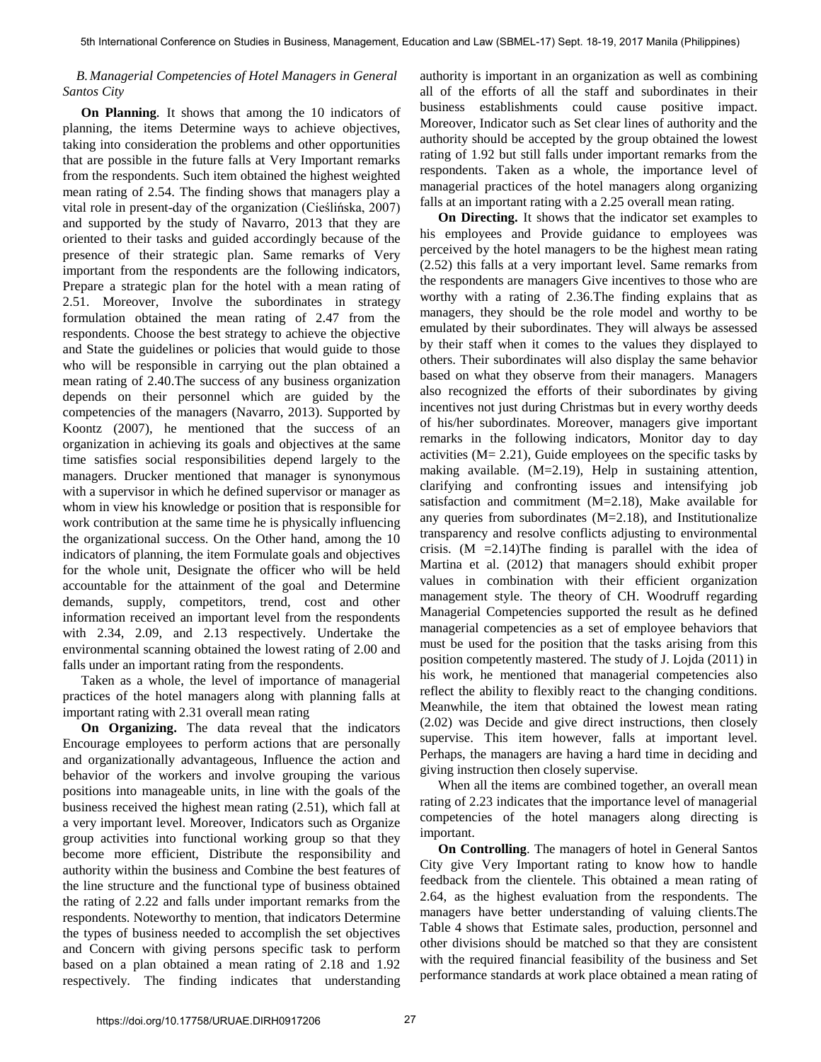## *B.Managerial Competencies of Hotel Managers in General Santos City*

**On Planning***.* It shows that among the 10 indicators of planning, the items Determine ways to achieve objectives, taking into consideration the problems and other opportunities that are possible in the future falls at Very Important remarks from the respondents. Such item obtained the highest weighted mean rating of 2.54. The finding shows that managers play a vital role in present-day of the organization (Cieślińska, 2007) and supported by the study of Navarro, 2013 that they are oriented to their tasks and guided accordingly because of the presence of their strategic plan. Same remarks of Very important from the respondents are the following indicators, Prepare a strategic plan for the hotel with a mean rating of 2.51. Moreover, Involve the subordinates in strategy formulation obtained the mean rating of 2.47 from the respondents. Choose the best strategy to achieve the objective and State the guidelines or policies that would guide to those who will be responsible in carrying out the plan obtained a mean rating of 2.40.The success of any business organization depends on their personnel which are guided by the competencies of the managers (Navarro, 2013). Supported by Koontz (2007), he mentioned that the success of an organization in achieving its goals and objectives at the same time satisfies social responsibilities depend largely to the managers. Drucker mentioned that manager is synonymous with a supervisor in which he defined supervisor or manager as whom in view his knowledge or position that is responsible for work contribution at the same time he is physically influencing the organizational success. On the Other hand, among the 10 indicators of planning, the item Formulate goals and objectives for the whole unit, Designate the officer who will be held accountable for the attainment of the goal and Determine demands, supply, competitors, trend, cost and other information received an important level from the respondents with 2.34, 2.09, and 2.13 respectively. Undertake the environmental scanning obtained the lowest rating of 2.00 and falls under an important rating from the respondents.

Taken as a whole, the level of importance of managerial practices of the hotel managers along with planning falls at important rating with 2.31 overall mean rating

**On Organizing.** The data reveal that the indicators Encourage employees to perform actions that are personally and organizationally advantageous, Influence the action and behavior of the workers and involve grouping the various positions into manageable units, in line with the goals of the business received the highest mean rating (2.51), which fall at a very important level. Moreover, Indicators such as Organize group activities into functional working group so that they become more efficient, Distribute the responsibility and authority within the business and Combine the best features of the line structure and the functional type of business obtained the rating of 2.22 and falls under important remarks from the respondents. Noteworthy to mention, that indicators Determine the types of business needed to accomplish the set objectives and Concern with giving persons specific task to perform based on a plan obtained a mean rating of 2.18 and 1.92 respectively. The finding indicates that understanding

authority is important in an organization as well as combining all of the efforts of all the staff and subordinates in their business establishments could cause positive impact. Moreover, Indicator such as Set clear lines of authority and the authority should be accepted by the group obtained the lowest rating of 1.92 but still falls under important remarks from the respondents. Taken as a whole, the importance level of managerial practices of the hotel managers along organizing falls at an important rating with a 2.25 overall mean rating.

**On Directing.** It shows that the indicator set examples to his employees and Provide guidance to employees was perceived by the hotel managers to be the highest mean rating (2.52) this falls at a very important level. Same remarks from the respondents are managers Give incentives to those who are worthy with a rating of 2.36.The finding explains that as managers, they should be the role model and worthy to be emulated by their subordinates. They will always be assessed by their staff when it comes to the values they displayed to others. Their subordinates will also display the same behavior based on what they observe from their managers. Managers also recognized the efforts of their subordinates by giving incentives not just during Christmas but in every worthy deeds of his/her subordinates. Moreover, managers give important remarks in the following indicators, Monitor day to day activities (M= 2.21), Guide employees on the specific tasks by making available. (M=2.19), Help in sustaining attention, clarifying and confronting issues and intensifying job satisfaction and commitment (M=2.18), Make available for any queries from subordinates (M=2.18), and Institutionalize transparency and resolve conflicts adjusting to environmental crisis.  $(M = 2.14)$ The finding is parallel with the idea of Martina et al. (2012) that managers should exhibit proper values in combination with their efficient organization management style. The theory of CH. Woodruff regarding Managerial Competencies supported the result as he defined managerial competencies as a set of employee behaviors that must be used for the position that the tasks arising from this position competently mastered. The study of J. Lojda (2011) in his work, he mentioned that managerial competencies also reflect the ability to flexibly react to the changing conditions. Meanwhile, the item that obtained the lowest mean rating (2.02) was Decide and give direct instructions, then closely supervise. This item however, falls at important level. Perhaps, the managers are having a hard time in deciding and giving instruction then closely supervise.

When all the items are combined together, an overall mean rating of 2.23 indicates that the importance level of managerial competencies of the hotel managers along directing is important.

**On Controlling**. The managers of hotel in General Santos City give Very Important rating to know how to handle feedback from the clientele. This obtained a mean rating of 2.64, as the highest evaluation from the respondents. The managers have better understanding of valuing clients.The Table 4 shows that Estimate sales, production, personnel and other divisions should be matched so that they are consistent with the required financial feasibility of the business and Set performance standards at work place obtained a mean rating of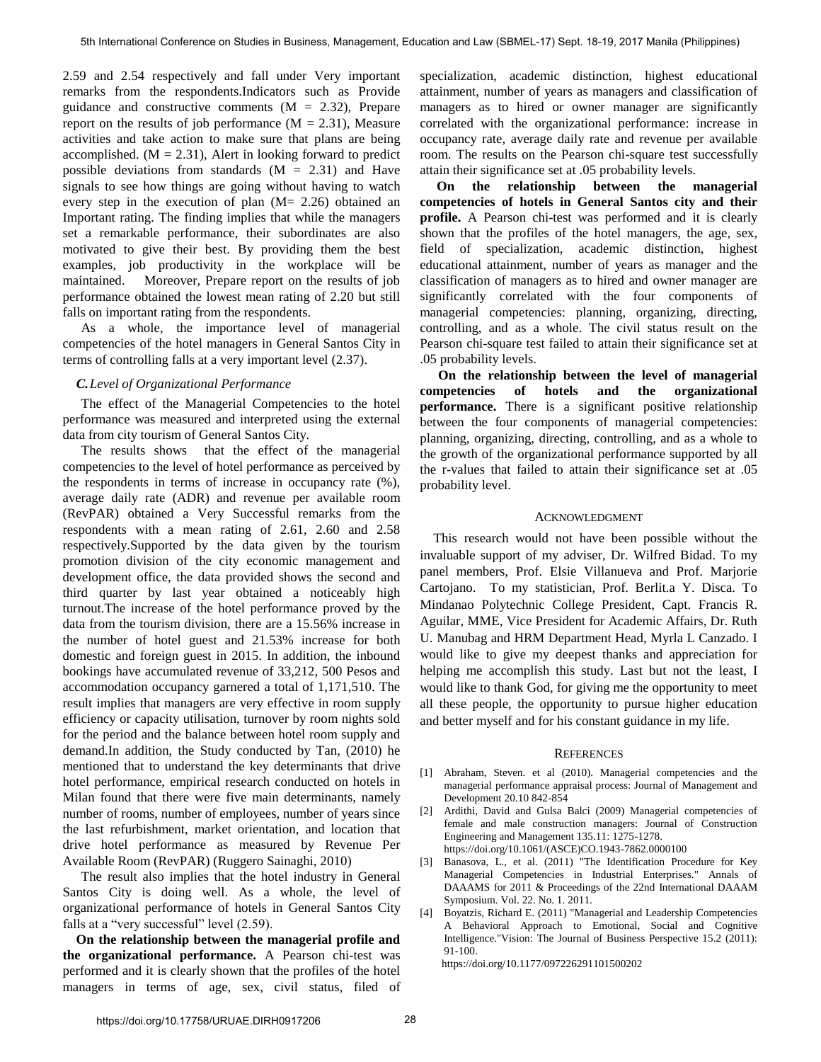2.59 and 2.54 respectively and fall under Very important remarks from the respondents.Indicators such as Provide guidance and constructive comments  $(M = 2.32)$ , Prepare report on the results of job performance  $(M = 2.31)$ , Measure activities and take action to make sure that plans are being accomplished.  $(M = 2.31)$ , Alert in looking forward to predict possible deviations from standards  $(M = 2.31)$  and Have signals to see how things are going without having to watch every step in the execution of plan (M= 2.26) obtained an Important rating. The finding implies that while the managers set a remarkable performance, their subordinates are also motivated to give their best. By providing them the best examples, job productivity in the workplace will be maintained. Moreover, Prepare report on the results of job performance obtained the lowest mean rating of 2.20 but still falls on important rating from the respondents.

As a whole, the importance level of managerial competencies of the hotel managers in General Santos City in terms of controlling falls at a very important level (2.37).

## *C.Level of Organizational Performance*

The effect of the Managerial Competencies to the hotel performance was measured and interpreted using the external data from city tourism of General Santos City.

The results shows that the effect of the managerial competencies to the level of hotel performance as perceived by the respondents in terms of increase in occupancy rate (%), average daily rate (ADR) and revenue per available room (RevPAR) obtained a Very Successful remarks from the respondents with a mean rating of 2.61, 2.60 and 2.58 respectively.Supported by the data given by the tourism promotion division of the city economic management and development office, the data provided shows the second and third quarter by last year obtained a noticeably high turnout.The increase of the hotel performance proved by the data from the tourism division, there are a 15.56% increase in the number of hotel guest and 21.53% increase for both domestic and foreign guest in 2015. In addition, the inbound bookings have accumulated revenue of 33,212, 500 Pesos and accommodation occupancy garnered a total of 1,171,510. The result implies that managers are very effective in room supply efficiency or capacity utilisation, turnover by room nights sold for the period and the balance between hotel room supply and demand.In addition, the Study conducted by Tan, (2010) he mentioned that to understand the key determinants that drive hotel performance, empirical research conducted on hotels in Milan found that there were five main determinants, namely number of rooms, number of employees, number of years since the last refurbishment, market orientation, and location that drive hotel performance as measured by Revenue Per Available Room (RevPAR) (Ruggero Sainaghi, 2010)

The result also implies that the hotel industry in General Santos City is doing well. As a whole, the level of organizational performance of hotels in General Santos City falls at a "very successful" level (2.59).

**On the relationship between the managerial profile and the organizational performance.** A Pearson chi-test was performed and it is clearly shown that the profiles of the hotel managers in terms of age, sex, civil status, filed of

specialization, academic distinction, highest educational attainment, number of years as managers and classification of managers as to hired or owner manager are significantly correlated with the organizational performance: increase in occupancy rate, average daily rate and revenue per available room. The results on the Pearson chi-square test successfully attain their significance set at .05 probability levels.

 **On the relationship between the managerial competencies of hotels in General Santos city and their profile.** A Pearson chi-test was performed and it is clearly shown that the profiles of the hotel managers, the age, sex, field of specialization, academic distinction, highest educational attainment, number of years as manager and the classification of managers as to hired and owner manager are significantly correlated with the four components of managerial competencies: planning, organizing, directing, controlling, and as a whole. The civil status result on the Pearson chi-square test failed to attain their significance set at .05 probability levels.

**On the relationship between the level of managerial competencies of hotels and the organizational performance.** There is a significant positive relationship between the four components of managerial competencies: planning, organizing, directing, controlling, and as a whole to the growth of the organizational performance supported by all the r-values that failed to attain their significance set at .05 probability level.

#### ACKNOWLEDGMENT

This research would not have been possible without the invaluable support of my adviser, Dr. Wilfred Bidad. To my panel members, Prof. Elsie Villanueva and Prof. Marjorie Cartojano. To my statistician, Prof. Berlit.a Y. Disca. To Mindanao Polytechnic College President, Capt. Francis R. Aguilar, MME, Vice President for Academic Affairs, Dr. Ruth U. Manubag and HRM Department Head, Myrla L Canzado. I would like to give my deepest thanks and appreciation for helping me accomplish this study. Last but not the least, I would like to thank God, for giving me the opportunity to meet all these people, the opportunity to pursue higher education and better myself and for his constant guidance in my life.

## **REFERENCES**

- [1] Abraham, Steven. et al (2010). Managerial competencies and the managerial performance appraisal process: Journal of Management and Development 20.10 842-854
- [2] Ardithi, David and Gulsa Balci (2009) Managerial competencies of female and male construction managers: Journal of Construction Engineering and Management 135.11: 1275-1278. https://doi.org/10.1061/(ASCE)CO.1943-7862.0000100
- [3] Banasova, L., et al. (2011) "The Identification Procedure for Key Managerial Competencies in Industrial Enterprises." Annals of DAAAMS for 2011 & Proceedings of the 22nd International DAAAM Symposium. Vol. 22. No. 1. 2011.
- [4] Boyatzis, Richard E. (2011) "Managerial and Leadership Competencies A Behavioral Approach to Emotional, Social and Cognitive Intelligence."Vision: The Journal of Business Perspective 15.2 (2011): 91-100.

https://doi.org/10.1177/097226291101500202